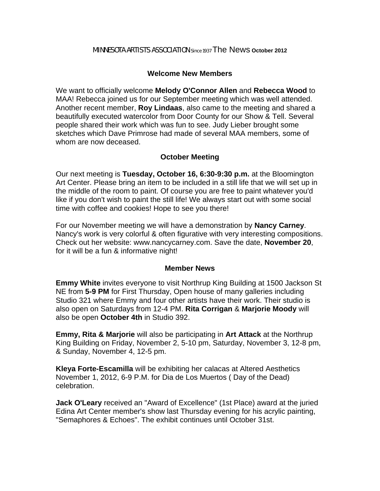### MINNESOTA ARTISTS ASSOCIATION Since 1937 The News **October 2012**

# **Welcome New Members**

We want to officially welcome **Melody O'Connor Allen** and **Rebecca Wood** to MAA! Rebecca joined us for our September meeting which was well attended. Another recent member, **Roy Lindaas**, also came to the meeting and shared a beautifully executed watercolor from Door County for our Show & Tell. Several people shared their work which was fun to see. Judy Lieber brought some sketches which Dave Primrose had made of several MAA members, some of whom are now deceased.

# **October Meeting**

Our next meeting is **Tuesday, October 16, 6:30-9:30 p.m.** at the Bloomington Art Center. Please bring an item to be included in a still life that we will set up in the middle of the room to paint. Of course you are free to paint whatever you'd like if you don't wish to paint the still life! We always start out with some social time with coffee and cookies! Hope to see you there!

For our November meeting we will have a demonstration by **Nancy Carney**. Nancy's work is very colorful & often figurative with very interesting compositions. Check out her website: www.nancycarney.com. Save the date, **November 20**, for it will be a fun & informative night!

## **Member News**

**Emmy White** invites everyone to visit Northrup King Building at 1500 Jackson St NE from **5-9 PM** for First Thursday, Open house of many galleries including Studio 321 where Emmy and four other artists have their work. Their studio is also open on Saturdays from 12-4 PM. **Rita Corrigan** & **Marjorie Moody** will also be open **October 4th** in Studio 392.

**Emmy, Rita & Marjorie** will also be participating in **Art Attack** at the Northrup King Building on Friday, November 2, 5-10 pm, Saturday, November 3, 12-8 pm, & Sunday, November 4, 12-5 pm.

**Kleya Forte-Escamilla** will be exhibiting her calacas at Altered Aesthetics November 1, 2012, 6-9 P.M. for Dia de Los Muertos ( Day of the Dead) celebration.

**Jack O'Leary** received an "Award of Excellence" (1st Place) award at the juried Edina Art Center member's show last Thursday evening for his acrylic painting, "Semaphores & Echoes". The exhibit continues until October 31st.